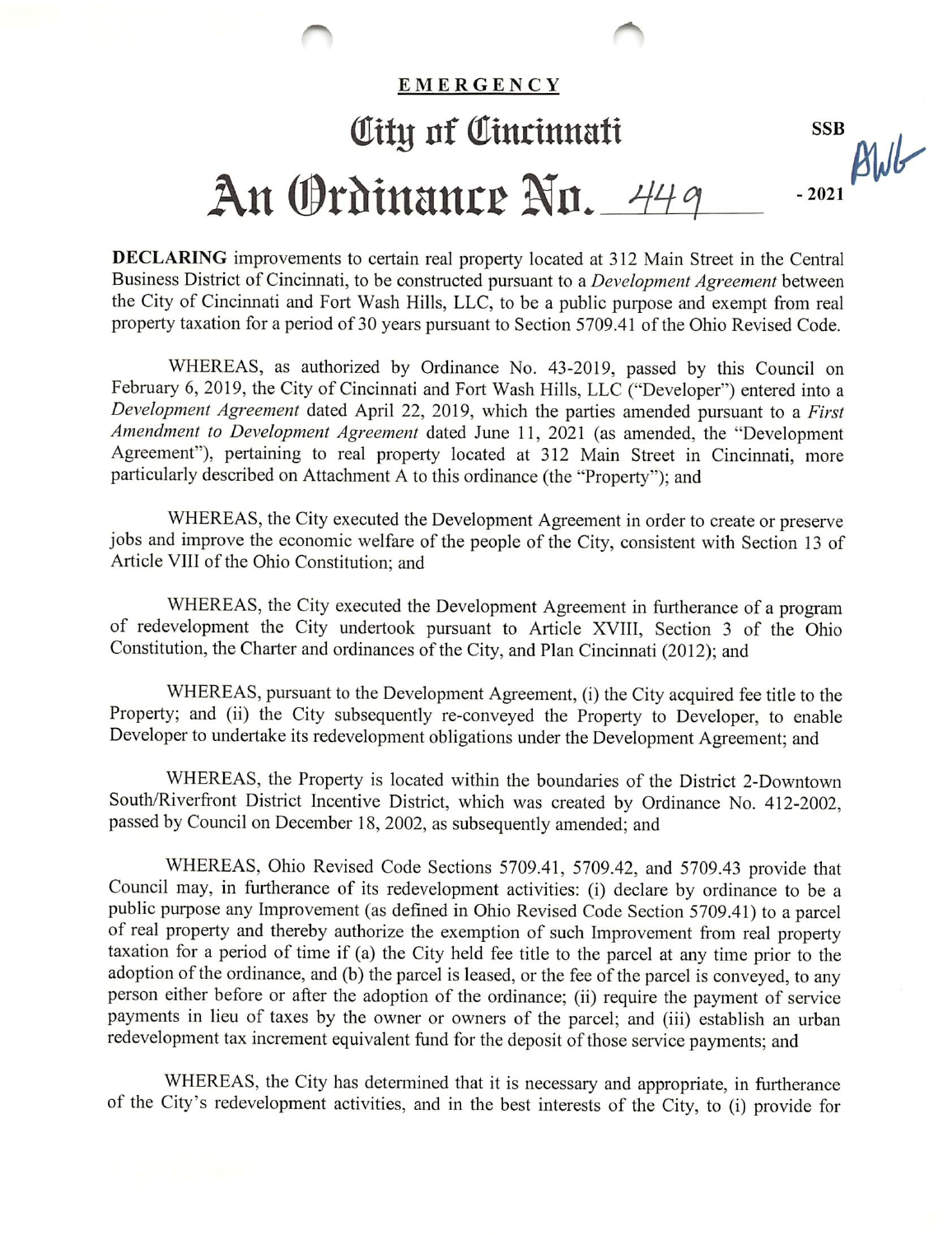## EMERGENCY Oity of Cincinnati<br>All-An Ordinance No. 449  $-2021$

DECLARING improvements to certain real property located at 312 Main Street in the Central Business District of Cincinnati, to be constructed pursuant to a *Development Agreement* between the City of Cincinnati and Fort Wash Hills, LLC, to be a public purpose and exempt from real property taxation for a period of 30 years pursuant to Section 5709.41 of the Ohio Revised Code.

WHEREAS, as authorized by Ordinance No. 43-2019, passed by this Council on February 6, 2019, the City of Cincinnati and Fort Wash Hills, LLC ("Developer") entered into a Development Agreement dated April 22, 2019, which the parties amended pursuant to a First Amendment to Development Agreement dated June 11, 2021 (as amended, the "Development Agreement"), pertaining to real property located at 312 Main Street in Cincinnati, more particularly described on Attachment A to this ordinance (the "Property"); and

WHEREAS, the City executed the Development Agreement in order to create or preserve jobs and improve the economic welfare of the people of the City, consistent with Section 13 of Article VIII of the Ohio Constitution; and

WHEREAS, the City executed the Development Agreement in furtherance of a program of redevelopment the City undertook pursuant to Article XVIII, Section 3 of the Ohio Constitution, the Charter and ordinances of the City, and Plan Cincinnati (2012); and

WHEREAS, pursuant to the Development Agreement, (i) the City acquired fee title to the Property; and (ii) the City subsequently re-conveyed the Property to Developer, to enable Developer to undertake its redevelopment obligations under the Development Agreement; and

WHEREAS, the Property is located within the boundaries of the District 2-Downtown South/Riverfront District Incentive District, which was created by Ordinance No. 412-2002, passed by Council on December 18, 2002, as subsequently amended; and

WHEREAS, Ohio Revised Code Sections 5709.41, 5709.42, and 5709.43 provide that Council may, in furtherance of its redevelopment activities: (i) declare by ordinance to be a public purpose any Improvement (as defined in Ohio Revised Code Section 5709.41) to a parcel of real property and thereby authorize the exemption of such Improvement from real property taxation for a period of time if (a) the City held fee title to the pareel at any time prior to the adoption of the ordinance, and (b) the parcel is leased, or the fee of the parcel is conveyed, to any person either before or after the adoption of the ordinance; (ii) require the payment of service payments in lieu of taxes by the owner or owners of the parcel; and (iii) establish an urban redevelopment tax increment equivalent fund for the deposit of those service payments; and

WHEREAS, the City has determined that it is necessary and appropriate, in furtherance of the City's redevelopment activities, and in the best interests of the City, to (i) provide for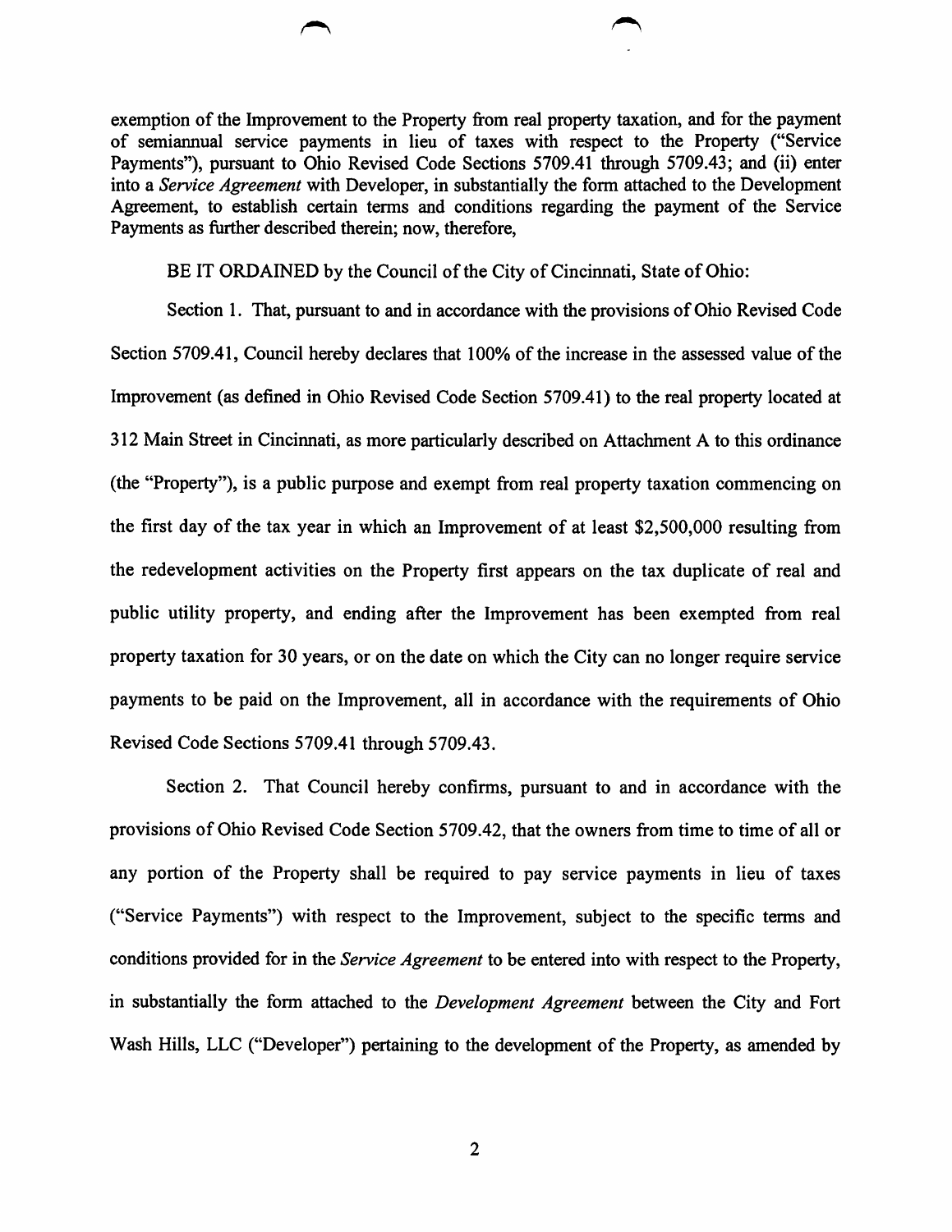exemption of the Improvement to the Property from real property taxation, and for the payment of semiannual service payments in lieu of taxes with respect to the Property ("Service Payments"), pursuant to Ohio Revised Code Sections 5709.41 through 5709.43; and (ii) enter into a Service Agreement with Developer, in substantially the form attached to the Development Agreement, to establish certain terms and conditions regarding the payment of the Service Payments as further described therein; now, therefore,

BE IT ORDAINED by the Council of the City of Cincinnati, State of Ohio:

Section 1. That, pursuant to and in accordance with the provisions of Ohio Revised Code Section 5709.41, Council hereby declares that 100% of the increase in the assessed value of the Improvement (as defined in Ohio Revised Code Section 5709.41) to the real property located at 312 Main Street in Cincinnati, as more particularly described on Attachment A to this ordinance (the "Property"), is a public purpose and exempt from real property taxation commencing on the first day of the tax year in which an Improvement of at least \$2,500,000 resulting from the redevelopment activities on the Property first appears on the tax duplicate of real and public utility property, and ending after the Improvement has been exempted from real property taxation for 30 years, or on the date on which the City can no longer require service payments to be paid on the Improvement, all in accordance with the requirements of Ohio Revised Code Sections 5709.41 through 5709.43.

Section 2. That Council hereby confirms, pursuant to and in accordance with the provisions of Ohio Revised Code Section 5709.42, that the owners from time to time of all or any portion of the Property shall be required to pay service payments in lieu of taxes ("Service Payments") with respect to the Improvement, subject to the specific terms and conditions provided for in the Service Agreement to be entered into with respect to the Property, in substantially the form attached to the Development Agreement between the City and Fort Wash Hills, LLC ("Developer") pertaining to the development of the Property, as amended by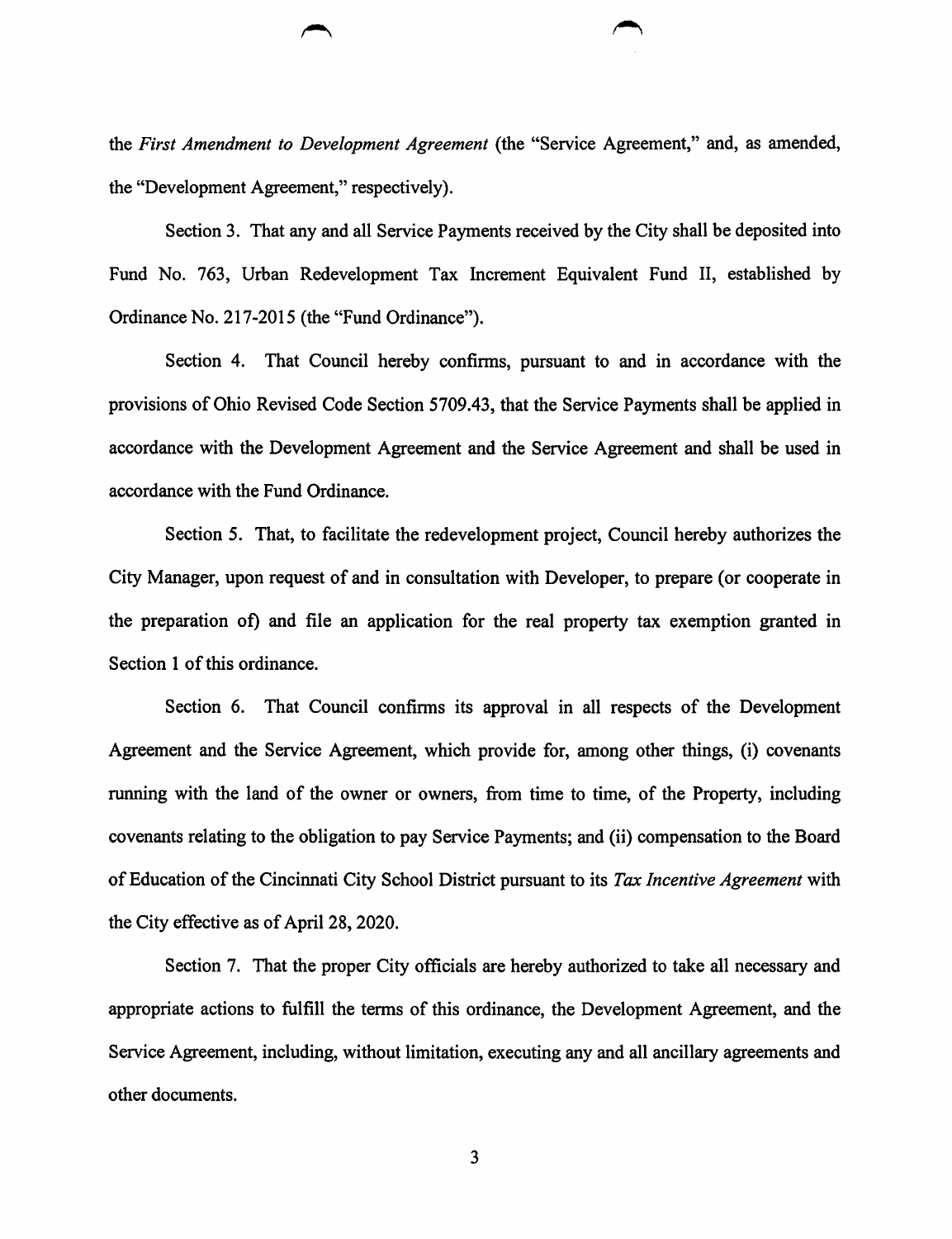the First Amendment to Development Agreement (the "Service Agreement," and, as amended, the "Development Agreement," respectively).

Section 3. That any and all Service Payments received by the City shall be deposited into Fund No. 763, Urban Redevelopment Tax Increment Equivalent Fund II, established by Ordinance No. 217-2015 (the "Fund Ordinance").

Section 4. That Council hereby confirms, pursuant to and in accordance with the provisions of Ohio Revised Code Section 5709.43, that the Service Payments shall be applied in accordance with the Development Agreement and the Service Agreement and shall be used in accordance with the Fund Ordinance.

Section 5. That, to facilitate the redevelopment project. Council hereby authorizes the City Manager, upon request of and in consultation with Developer, to prepare (or cooperate in the preparation of) and file an application for the real property tax exemption granted in Section 1 of this ordinance.

Section 6. That Council confirms its approval in all respects of the Development Agreement and the Service Agreement, which provide for, among other things, (i) covenants running with the land of the owner or owners, from time to time, of the Property, including covenants relating to the obligation to pay Service Payments; and (ii) compensation to the Board of Education of the Cincinnati City School District pursuant to its Tax Incentive Agreement with the City effective as of April 28,2020.

Section 7. That the proper City officials are hereby authorized to take all necessary and appropriate actions to fulfill the terms of this ordinance, the Development Agreement, and the Service Agreement, including, without limitation, executing any and all ancillary agreements and other documents.

 $\overline{\mathbf{3}}$